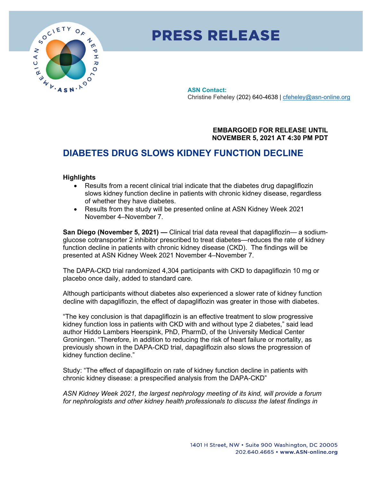

## **PRESS RELEASE**

**ASN Contact:** Christine Feheley (202) 640-4638 | [cfeheley@asn-online.org](mailto:cfeheley@asn-online.org)

> **EMBARGOED FOR RELEASE UNTIL NOVEMBER 5, 2021 AT 4:30 PM PDT**

## **DIABETES DRUG SLOWS KIDNEY FUNCTION DECLINE**

## **Highlights**

- Results from a recent clinical trial indicate that the diabetes drug dapagliflozin slows kidney function decline in patients with chronic kidney disease, regardless of whether they have diabetes.
- Results from the study will be presented online at ASN Kidney Week 2021 November 4–November 7.

**San Diego (November 5, 2021) —** Clinical trial data reveal that dapagliflozin— a sodiumglucose cotransporter 2 inhibitor prescribed to treat diabetes—reduces the rate of kidney function decline in patients with chronic kidney disease (CKD). The findings will be presented at ASN Kidney Week 2021 November 4–November 7.

The DAPA-CKD trial randomized 4,304 participants with CKD to dapagliflozin 10 mg or placebo once daily, added to standard care.

Although participants without diabetes also experienced a slower rate of kidney function decline with dapagliflozin, the effect of dapagliflozin was greater in those with diabetes.

"The key conclusion is that dapagliflozin is an effective treatment to slow progressive kidney function loss in patients with CKD with and without type 2 diabetes," said lead author Hiddo Lambers Heerspink, PhD, PharmD, of the University Medical Center Groningen. "Therefore, in addition to reducing the risk of heart failure or mortality, as previously shown in the DAPA-CKD trial, dapagliflozin also slows the progression of kidney function decline."

Study: "The effect of dapagliflozin on rate of kidney function decline in patients with chronic kidney disease: a prespecified analysis from the DAPA-CKD"

*ASN Kidney Week 2021, the largest nephrology meeting of its kind, will provide a forum for nephrologists and other kidney health professionals to discuss the latest findings in*